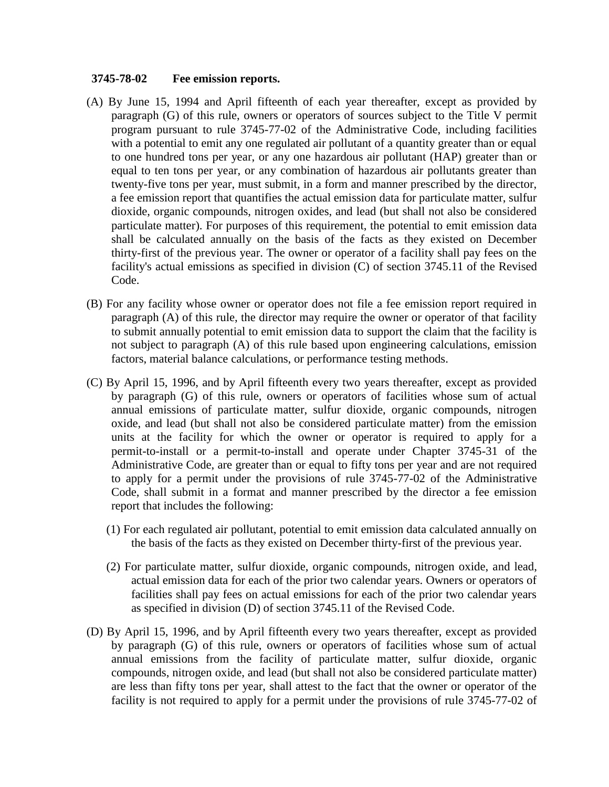## **3745-78-02 Fee emission reports.**

- (A) By June 15, 1994 and April fifteenth of each year thereafter, except as provided by paragraph (G) of this rule, owners or operators of sources subject to the Title V permit program pursuant to rule 3745-77-02 of the Administrative Code, including facilities with a potential to emit any one regulated air pollutant of a quantity greater than or equal to one hundred tons per year, or any one hazardous air pollutant (HAP) greater than or equal to ten tons per year, or any combination of hazardous air pollutants greater than twenty-five tons per year, must submit, in a form and manner prescribed by the director, a fee emission report that quantifies the actual emission data for particulate matter, sulfur dioxide, organic compounds, nitrogen oxides, and lead (but shall not also be considered particulate matter). For purposes of this requirement, the potential to emit emission data shall be calculated annually on the basis of the facts as they existed on December thirty-first of the previous year. The owner or operator of a facility shall pay fees on the facility's actual emissions as specified in division (C) of section 3745.11 of the Revised Code.
- (B) For any facility whose owner or operator does not file a fee emission report required in paragraph (A) of this rule, the director may require the owner or operator of that facility to submit annually potential to emit emission data to support the claim that the facility is not subject to paragraph (A) of this rule based upon engineering calculations, emission factors, material balance calculations, or performance testing methods.
- (C) By April 15, 1996, and by April fifteenth every two years thereafter, except as provided by paragraph (G) of this rule, owners or operators of facilities whose sum of actual annual emissions of particulate matter, sulfur dioxide, organic compounds, nitrogen oxide, and lead (but shall not also be considered particulate matter) from the emission units at the facility for which the owner or operator is required to apply for a permit-to-install or a permit-to-install and operate under Chapter 3745-31 of the Administrative Code, are greater than or equal to fifty tons per year and are not required to apply for a permit under the provisions of rule 3745-77-02 of the Administrative Code, shall submit in a format and manner prescribed by the director a fee emission report that includes the following:
	- (1) For each regulated air pollutant, potential to emit emission data calculated annually on the basis of the facts as they existed on December thirty-first of the previous year.
	- (2) For particulate matter, sulfur dioxide, organic compounds, nitrogen oxide, and lead, actual emission data for each of the prior two calendar years. Owners or operators of facilities shall pay fees on actual emissions for each of the prior two calendar years as specified in division (D) of section 3745.11 of the Revised Code.
- (D) By April 15, 1996, and by April fifteenth every two years thereafter, except as provided by paragraph (G) of this rule, owners or operators of facilities whose sum of actual annual emissions from the facility of particulate matter, sulfur dioxide, organic compounds, nitrogen oxide, and lead (but shall not also be considered particulate matter) are less than fifty tons per year, shall attest to the fact that the owner or operator of the facility is not required to apply for a permit under the provisions of rule 3745-77-02 of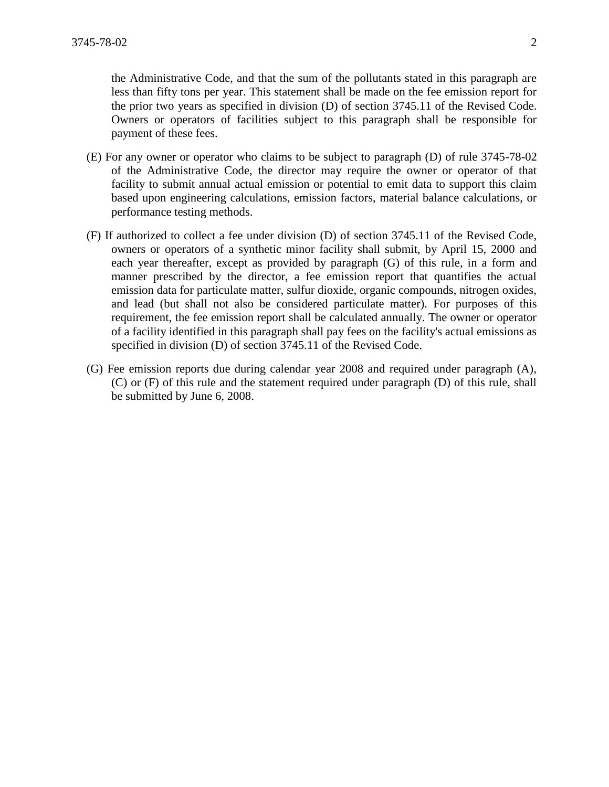the Administrative Code, and that the sum of the pollutants stated in this paragraph are less than fifty tons per year. This statement shall be made on the fee emission report for the prior two years as specified in division (D) of section 3745.11 of the Revised Code. Owners or operators of facilities subject to this paragraph shall be responsible for payment of these fees.

- (E) For any owner or operator who claims to be subject to paragraph (D) of rule 3745-78-02 of the Administrative Code, the director may require the owner or operator of that facility to submit annual actual emission or potential to emit data to support this claim based upon engineering calculations, emission factors, material balance calculations, or performance testing methods.
- (F) If authorized to collect a fee under division (D) of section 3745.11 of the Revised Code, owners or operators of a synthetic minor facility shall submit, by April 15, 2000 and each year thereafter, except as provided by paragraph (G) of this rule, in a form and manner prescribed by the director, a fee emission report that quantifies the actual emission data for particulate matter, sulfur dioxide, organic compounds, nitrogen oxides, and lead (but shall not also be considered particulate matter). For purposes of this requirement, the fee emission report shall be calculated annually. The owner or operator of a facility identified in this paragraph shall pay fees on the facility's actual emissions as specified in division (D) of section 3745.11 of the Revised Code.
- (G) Fee emission reports due during calendar year 2008 and required under paragraph (A), (C) or (F) of this rule and the statement required under paragraph (D) of this rule, shall be submitted by June 6, 2008.